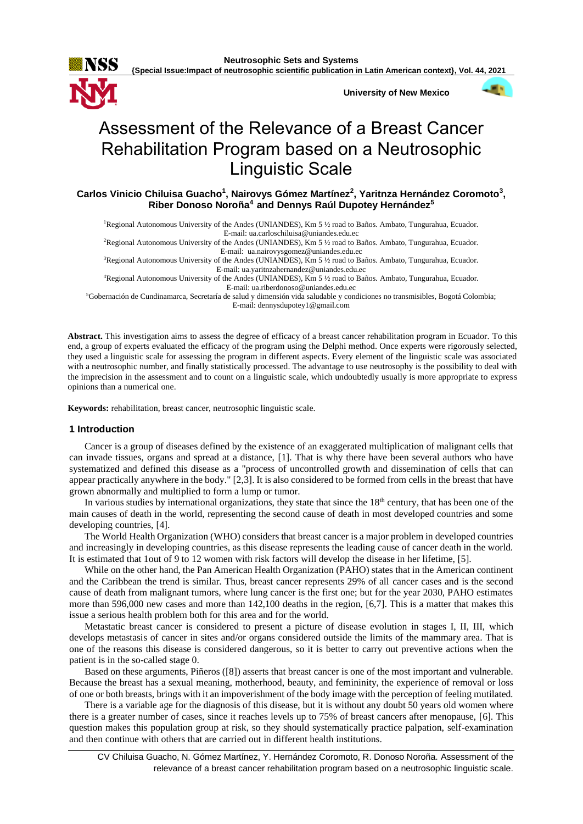

**{Special Issue:Impact of neutrosophic scientific publication in Latin American context}, Vol. 44, 2021**

**University of New Mexico**



# Assessment of the Relevance of a Breast Cancer Rehabilitation Program based on a Neutrosophic Linguistic Scale

**Carlos Vinicio Chiluisa Guacho<sup>1</sup> , Nairovys Gómez Martínez<sup>2</sup> , Yaritnza Hernández Coromoto<sup>3</sup> , Riber Donoso Noroña<sup>4</sup>and Dennys Raúl Dupotey Hernández<sup>5</sup>**

<sup>1</sup>Regional Autonomous University of the Andes (UNIANDES), Km 5 ½ road to Baños. Ambato, Tungurahua, Ecuador.

E-mail[: ua.carloschiluisa@uniandes.edu.ec](mailto:ua.carloschiluisa@uniandes.edu.ec)

<sup>2</sup>Regional Autonomous University of the Andes (UNIANDES), Km 5 ½ road to Baños. Ambato, Tungurahua, Ecuador. E-mail: [ua.nairovysgomez@uniandes.edu.ec](mailto:ua.nairovysgomez@uniandes.edu.ec)

<sup>3</sup>Regional Autonomous University of the Andes (UNIANDES), Km 5 ½ road to Baños. Ambato, Tungurahua, Ecuador. E-mail[: ua.yaritnzahernandez@uniandes.edu.ec](mailto:ua.yaritnzahernandez@uniandes.edu.ec)

<sup>4</sup>Regional Autonomous University of the Andes (UNIANDES), Km 5 ½ road to Baños. Ambato, Tungurahua, Ecuador. E-mail[: ua.riberdonoso@uniandes.edu.ec](mailto:ua.riberdonoso@uniandes.edu.ec)

<sup>5</sup>Gobernación de Cundinamarca, Secretaría de salud y dimensión vida saludable y condiciones no transmisibles, Bogotá Colombia; E-mail: [dennysdupotey1@gmail.com](mailto:dennysdupotey1@gmail.com)

**Abstract.** This investigation aims to assess the degree of efficacy of a breast cancer rehabilitation program in Ecuador. To this end, a group of experts evaluated the efficacy of the program using the Delphi method. Once experts were rigorously selected, they used a linguistic scale for assessing the program in different aspects. Every element of the linguistic scale was associated with a neutrosophic number, and finally statistically processed. The advantage to use neutrosophy is the possibility to deal with the imprecision in the assessment and to count on a linguistic scale, which undoubtedly usually is more appropriate to express opinions than a numerical one.

**Keywords:** rehabilitation, breast cancer, neutrosophic linguistic scale.

# **1 Introduction**

Cancer is a group of diseases defined by the existence of an exaggerated multiplication of malignant cells that can invade tissues, organs and spread at a distance, [1]. That is why there have been several authors who have systematized and defined this disease as a "process of uncontrolled growth and dissemination of cells that can appear practically anywhere in the body." [2,3]. It is also considered to be formed from cells in the breast that have grown abnormally and multiplied to form a lump or tumor.

In various studies by international organizations, they state that since the 18<sup>th</sup> century, that has been one of the main causes of death in the world, representing the second cause of death in most developed countries and some developing countries, [4].

The World Health Organization (WHO) considers that breast cancer is a major problem in developed countries and increasingly in developing countries, as this disease represents the leading cause of cancer death in the world. It is estimated that 1out of 9 to 12 women with risk factors will develop the disease in her lifetime, [5].

While on the other hand, the Pan American Health Organization (PAHO) states that in the American continent and the Caribbean the trend is similar. Thus, breast cancer represents 29% of all cancer cases and is the second cause of death from malignant tumors, where lung cancer is the first one; but for the year 2030, PAHO estimates more than 596,000 new cases and more than 142,100 deaths in the region, [6,7]. This is a matter that makes this issue a serious health problem both for this area and for the world.

Metastatic breast cancer is considered to present a picture of disease evolution in stages I, II, III, which develops metastasis of cancer in sites and/or organs considered outside the limits of the mammary area. That is one of the reasons this disease is considered dangerous, so it is better to carry out preventive actions when the patient is in the so-called stage 0.

Based on these arguments, Piñeros ([8]) asserts that breast cancer is one of the most important and vulnerable. Because the breast has a sexual meaning, motherhood, beauty, and femininity, the experience of removal or loss of one or both breasts, brings with it an impoverishment of the body image with the perception of feeling mutilated.

There is a variable age for the diagnosis of this disease, but it is without any doubt 50 years old women where there is a greater number of cases, since it reaches levels up to 75% of breast cancers after menopause, [6]. This question makes this population group at risk, so they should systematically practice palpation, self-examination and then continue with others that are carried out in different health institutions.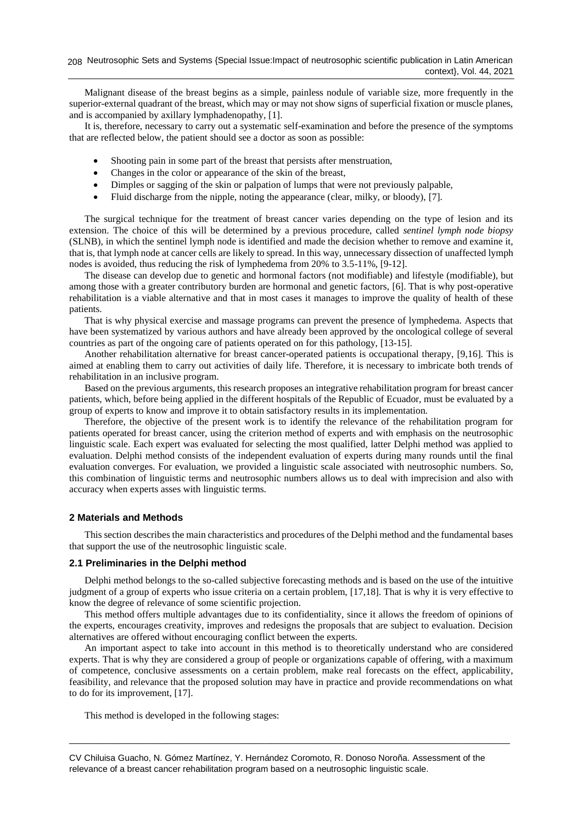Malignant disease of the breast begins as a simple, painless nodule of variable size, more frequently in the superior-external quadrant of the breast, which may or may not show signs of superficial fixation or muscle planes, and is accompanied by axillary lymphadenopathy, [1].

It is, therefore, necessary to carry out a systematic self-examination and before the presence of the symptoms that are reflected below, the patient should see a doctor as soon as possible:

- Shooting pain in some part of the breast that persists after menstruation,
- Changes in the color or appearance of the skin of the breast,
- Dimples or sagging of the skin or palpation of lumps that were not previously palpable,
- Fluid discharge from the nipple, noting the appearance (clear, milky, or bloody), [7].

The surgical technique for the treatment of breast cancer varies depending on the type of lesion and its extension. The choice of this will be determined by a previous procedure, called *sentinel lymph node biopsy* (SLNB), in which the sentinel lymph node is identified and made the decision whether to remove and examine it, that is, that lymph node at cancer cells are likely to spread. In this way, unnecessary dissection of unaffected lymph nodes is avoided, thus reducing the risk of lymphedema from 20% to 3.5-11%, [9-12].

The disease can develop due to genetic and hormonal factors (not modifiable) and lifestyle (modifiable), but among those with a greater contributory burden are hormonal and genetic factors, [6]. That is why post-operative rehabilitation is a viable alternative and that in most cases it manages to improve the quality of health of these patients.

That is why physical exercise and massage programs can prevent the presence of lymphedema. Aspects that have been systematized by various authors and have already been approved by the oncological college of several countries as part of the ongoing care of patients operated on for this pathology, [13-15].

Another rehabilitation alternative for breast cancer-operated patients is occupational therapy, [9,16]. This is aimed at enabling them to carry out activities of daily life. Therefore, it is necessary to imbricate both trends of rehabilitation in an inclusive program.

Based on the previous arguments, this research proposes an integrative rehabilitation program for breast cancer patients, which, before being applied in the different hospitals of the Republic of Ecuador, must be evaluated by a group of experts to know and improve it to obtain satisfactory results in its implementation.

Therefore, the objective of the present work is to identify the relevance of the rehabilitation program for patients operated for breast cancer, using the criterion method of experts and with emphasis on the neutrosophic linguistic scale. Each expert was evaluated for selecting the most qualified, latter Delphi method was applied to evaluation. Delphi method consists of the independent evaluation of experts during many rounds until the final evaluation converges. For evaluation, we provided a linguistic scale associated with neutrosophic numbers. So, this combination of linguistic terms and neutrosophic numbers allows us to deal with imprecision and also with accuracy when experts asses with linguistic terms.

## **2 Materials and Methods**

This section describes the main characteristics and procedures of the Delphi method and the fundamental bases that support the use of the neutrosophic linguistic scale.

# **2.1 Preliminaries in the Delphi method**

Delphi method belongs to the so-called subjective forecasting methods and is based on the use of the intuitive judgment of a group of experts who issue criteria on a certain problem, [17,18]. That is why it is very effective to know the degree of relevance of some scientific projection.

This method offers multiple advantages due to its confidentiality, since it allows the freedom of opinions of the experts, encourages creativity, improves and redesigns the proposals that are subject to evaluation. Decision alternatives are offered without encouraging conflict between the experts.

An important aspect to take into account in this method is to theoretically understand who are considered experts. That is why they are considered a group of people or organizations capable of offering, with a maximum of competence, conclusive assessments on a certain problem, make real forecasts on the effect, applicability, feasibility, and relevance that the proposed solution may have in practice and provide recommendations on what to do for its improvement, [17].

\_\_\_\_\_\_\_\_\_\_\_\_\_\_\_\_\_\_\_\_\_\_\_\_\_\_\_\_\_\_\_\_\_\_\_\_\_\_\_\_\_\_\_\_\_\_\_\_\_\_\_\_\_\_\_\_\_\_\_\_\_\_\_\_\_\_\_\_\_\_\_\_\_\_\_\_\_\_\_\_\_\_\_\_\_\_\_\_\_\_

This method is developed in the following stages: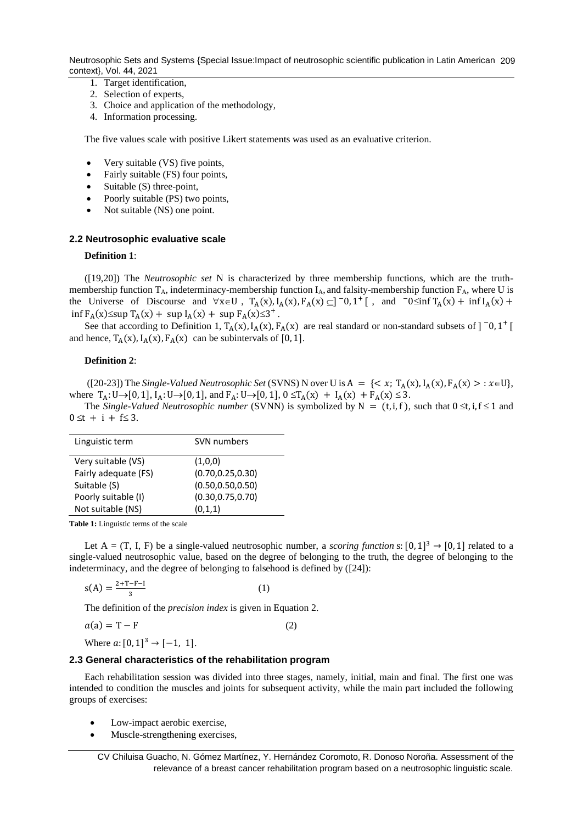Neutrosophic Sets and Systems {Special Issue:Impact of neutrosophic scientific publication in Latin American 209 context}, Vol. 44, 2021

- 1. Target identification,
- 2. Selection of experts,
- 3. Choice and application of the methodology,
- 4. Information processing.

The five values scale with positive Likert statements was used as an evaluative criterion.

- Very suitable (VS) five points,
- Fairly suitable (FS) four points,
- Suitable (S) three-point,
- Poorly suitable (PS) two points,
- Not suitable *(NS)* one point.

## **2.2 Neutrosophic evaluative scale**

#### **Definition 1**:

([19,20]) The *Neutrosophic set* N is characterized by three membership functions, which are the truthmembership function  $T_A$ , indeterminacy-membership function  $I_A$ , and falsity-membership function  $F_A$ , where U is the Universe of Discourse and  $\forall x \in U$ ,  $T_A(x)$ ,  $I_A(x)$ ,  $F_A(x) \subseteq ]\big]$   $[0, 1^+]$ , and  $\big[0, 0^+]$   $T_A(x) + \inf I_A(x) +$  $\inf F_A(x) \leq \sup T_A(x) + \sup I_A(x) + \sup F_A(x) \leq 3^+$ .

See that according to Definition 1,  $T_A(x)$ ,  $I_A(x)$ ,  $F_A(x)$  are real standard or non-standard subsets of  $]$  <sup>-</sup>0, 1<sup>+</sup> [ and hence,  $T_A(x)$ ,  $I_A(x)$ ,  $F_A(x)$  can be subintervals of [0, 1].

#### **Definition 2**:

([20-23]) The *Single-Valued Neutrosophic Set* (SVNS) N over U is  $A = \{ \leq x; T_A(x), I_A(x), F_A(x) > : x \in U \}$ , where  $T_A: U \to [0, 1]$ ,  $I_A: U \to [0, 1]$ , and  $F_A: U \to [0, 1]$ ,  $0 \le T_A(x) + I_A(x) + F_A(x) \le 3$ .

The *Single-Valued Neutrosophic number* (SVNN) is symbolized by N =  $(t, i, f)$ , such that  $0 \le t, i, f \le 1$  and  $0 \le t + i + f \le 3$ .

| Linguistic term      | SVN numbers        |
|----------------------|--------------------|
| Very suitable (VS)   | (1,0,0)            |
| Fairly adequate (FS) | (0.70, 0.25, 0.30) |
| Suitable (S)         | (0.50, 0.50, 0.50) |
| Poorly suitable (I)  | (0.30, 0.75, 0.70) |
| Not suitable (NS)    | (0,1,1)            |

**Table 1:** Linguistic terms of the scale

Let  $A = (T, I, F)$  be a single-valued neutrosophic number, a *scoring function* s:  $[0,1]^3 \rightarrow [0,1]$  related to a single-valued neutrosophic value, based on the degree of belonging to the truth, the degree of belonging to the indeterminacy, and the degree of belonging to falsehood is defined by ([24]):

$$
s(A) = \frac{2 + T - F - I}{3} \tag{1}
$$

The definition of the *precision index* is given in Equation 2.

$$
a(a) = T - F \tag{2}
$$

Where  $a: [0, 1]^3 \rightarrow [-1, 1].$ 

## **2.3 General characteristics of the rehabilitation program**

Each rehabilitation session was divided into three stages, namely, initial, main and final. The first one was intended to condition the muscles and joints for subsequent activity, while the main part included the following groups of exercises:

- Low-impact aerobic exercise,
- Muscle-strengthening exercises,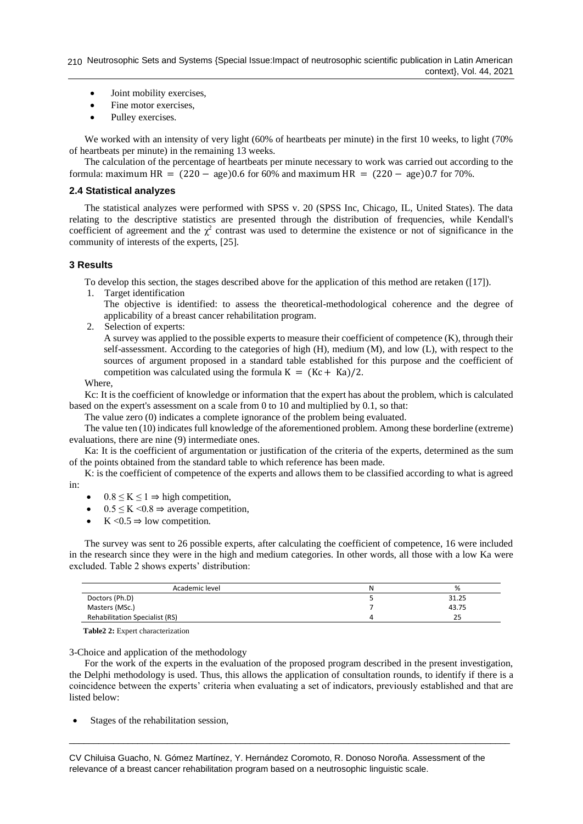- Joint mobility exercises,
- Fine motor exercises,
- Pulley exercises.

We worked with an intensity of very light (60% of heartbeats per minute) in the first 10 weeks, to light (70% of heartbeats per minute) in the remaining 13 weeks.

The calculation of the percentage of heartbeats per minute necessary to work was carried out according to the formula: maximum HR =  $(220 - age)0.6$  for 60% and maximum HR =  $(220 - age)0.7$  for 70%.

## **2.4 Statistical analyzes**

The statistical analyzes were performed with SPSS v. 20 (SPSS Inc, Chicago, IL, United States). The data relating to the descriptive statistics are presented through the distribution of frequencies, while Kendall's coefficient of agreement and the  $\chi^2$  contrast was used to determine the existence or not of significance in the community of interests of the experts, [25].

# **3 Results**

To develop this section, the stages described above for the application of this method are retaken ([17]).

1. Target identification

The objective is identified: to assess the theoretical-methodological coherence and the degree of applicability of a breast cancer rehabilitation program.

2. Selection of experts:

A survey was applied to the possible experts to measure their coefficient of competence (K), through their self-assessment. According to the categories of high (H), medium (M), and low (L), with respect to the sources of argument proposed in a standard table established for this purpose and the coefficient of competition was calculated using the formula  $K = (Kc + Ka)/2$ .

Where,

Kc: It is the coefficient of knowledge or information that the expert has about the problem, which is calculated based on the expert's assessment on a scale from 0 to 10 and multiplied by 0.1, so that:

The value zero (0) indicates a complete ignorance of the problem being evaluated.

The value ten (10) indicates full knowledge of the aforementioned problem. Among these borderline (extreme) evaluations, there are nine (9) intermediate ones.

Ka: It is the coefficient of argumentation or justification of the criteria of the experts, determined as the sum of the points obtained from the standard table to which reference has been made.

K: is the coefficient of competence of the experts and allows them to be classified according to what is agreed in:

- $0.8 \le K \le 1 \Rightarrow$  high competition,
- $0.5 \leq K \leq 0.8 \Rightarrow$  average competition,
- K  $< 0.5 \Rightarrow$  low competition.

The survey was sent to 26 possible experts, after calculating the coefficient of competence, 16 were included in the research since they were in the high and medium categories. In other words, all those with a low Ka were excluded. Table 2 shows experts' distribution:

| Academic level                        | %     |
|---------------------------------------|-------|
| Doctors (Ph.D)                        | 31.25 |
| Masters (MSc.)                        | 43.75 |
| <b>Rehabilitation Specialist (RS)</b> | 25    |

**Table2 2:** Expert characterization

# 3-Choice and application of the methodology

For the work of the experts in the evaluation of the proposed program described in the present investigation, the Delphi methodology is used. Thus, this allows the application of consultation rounds, to identify if there is a coincidence between the experts' criteria when evaluating a set of indicators, previously established and that are listed below:

\_\_\_\_\_\_\_\_\_\_\_\_\_\_\_\_\_\_\_\_\_\_\_\_\_\_\_\_\_\_\_\_\_\_\_\_\_\_\_\_\_\_\_\_\_\_\_\_\_\_\_\_\_\_\_\_\_\_\_\_\_\_\_\_\_\_\_\_\_\_\_\_\_\_\_\_\_\_\_\_\_\_\_\_\_\_\_\_\_\_

• Stages of the rehabilitation session,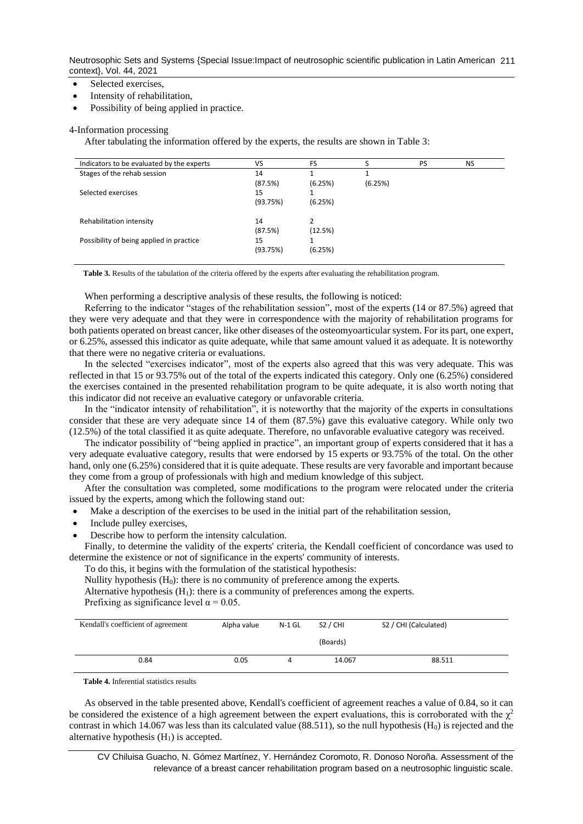Neutrosophic Sets and Systems {Special Issue:Impact of neutrosophic scientific publication in Latin American 211 context}, Vol. 44, 2021

- Selected exercises,
- Intensity of rehabilitation,
- Possibility of being applied in practice.

#### 4-Information processing

After tabulating the information offered by the experts, the results are shown in Table 3:

| Indicators to be evaluated by the experts | VS       | <b>FS</b> |         | PS | <b>NS</b> |
|-------------------------------------------|----------|-----------|---------|----|-----------|
| Stages of the rehab session               | 14       |           |         |    |           |
|                                           | (87.5%)  | (6.25%)   | (6.25%) |    |           |
| Selected exercises                        | 15       |           |         |    |           |
|                                           | (93.75%) | (6.25%)   |         |    |           |
| Rehabilitation intensity                  | 14       | 2         |         |    |           |
|                                           | (87.5%)  | (12.5%)   |         |    |           |
|                                           |          |           |         |    |           |
| Possibility of being applied in practice  | 15       |           |         |    |           |
|                                           | (93.75%) | (6.25%)   |         |    |           |
|                                           |          |           |         |    |           |

**Table 3.** Results of the tabulation of the criteria offered by the experts after evaluating the rehabilitation program.

When performing a descriptive analysis of these results, the following is noticed:

Referring to the indicator "stages of the rehabilitation session", most of the experts (14 or 87.5%) agreed that they were very adequate and that they were in correspondence with the majority of rehabilitation programs for both patients operated on breast cancer, like other diseases of the osteomyoarticular system. For its part, one expert, or 6.25%, assessed this indicator as quite adequate, while that same amount valued it as adequate. It is noteworthy that there were no negative criteria or evaluations.

In the selected "exercises indicator", most of the experts also agreed that this was very adequate. This was reflected in that 15 or 93.75% out of the total of the experts indicated this category. Only one (6.25%) considered the exercises contained in the presented rehabilitation program to be quite adequate, it is also worth noting that this indicator did not receive an evaluative category or unfavorable criteria.

In the "indicator intensity of rehabilitation", it is noteworthy that the majority of the experts in consultations consider that these are very adequate since 14 of them (87.5%) gave this evaluative category. While only two (12.5%) of the total classified it as quite adequate. Therefore, no unfavorable evaluative category was received.

The indicator possibility of "being applied in practice", an important group of experts considered that it has a very adequate evaluative category, results that were endorsed by 15 experts or 93.75% of the total. On the other hand, only one (6.25%) considered that it is quite adequate. These results are very favorable and important because they come from a group of professionals with high and medium knowledge of this subject.

After the consultation was completed, some modifications to the program were relocated under the criteria issued by the experts, among which the following stand out:

• Make a description of the exercises to be used in the initial part of the rehabilitation session,

- Include pulley exercises,
- Describe how to perform the intensity calculation.

Finally, to determine the validity of the experts' criteria, the Kendall coefficient of concordance was used to determine the existence or not of significance in the experts' community of interests.

To do this, it begins with the formulation of the statistical hypothesis:

Nullity hypothesis  $(H_0)$ : there is no community of preference among the experts.

Alternative hypothesis  $(H_1)$ : there is a community of preferences among the experts.

Prefixing as significance level  $\alpha = 0.05$ .

| Kendall's coefficient of agreement | Alpha value | N-1 GL | S <sub>2</sub> / CHI | S2 / CHI (Calculated) |
|------------------------------------|-------------|--------|----------------------|-----------------------|
|                                    |             |        | (Boards)             |                       |
| 0.84                               | 0.05        |        | 14.067               | 88.511                |

**Table 4.** Inferential statistics results

As observed in the table presented above, Kendall's coefficient of agreement reaches a value of 0.84, so it can be considered the existence of a high agreement between the expert evaluations, this is corroborated with the  $\chi^2$ contrast in which 14.067 was less than its calculated value  $(88.511)$ , so the null hypothesis  $(H<sub>0</sub>)$  is rejected and the alternative hypothesis  $(H_1)$  is accepted.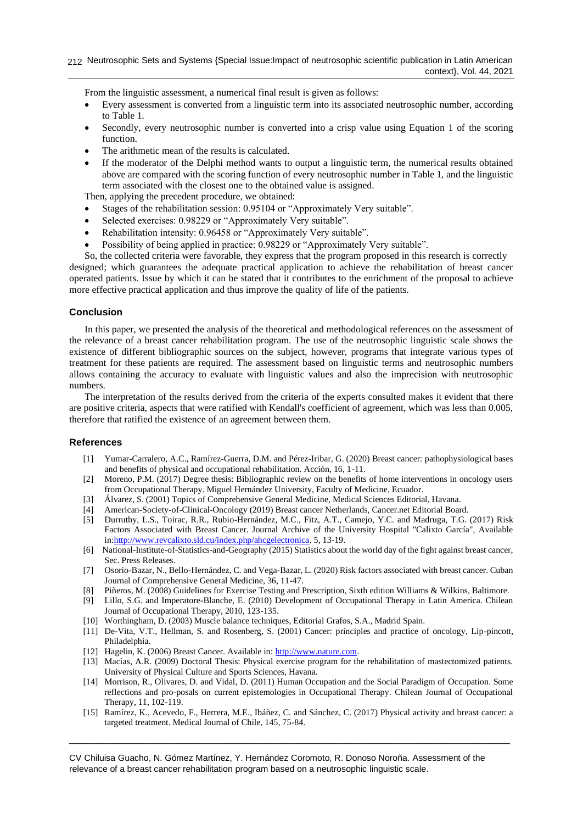From the linguistic assessment, a numerical final result is given as follows:

- Every assessment is converted from a linguistic term into its associated neutrosophic number, according to Table 1.
- Secondly, every neutrosophic number is converted into a crisp value using Equation 1 of the scoring function.
- The arithmetic mean of the results is calculated.
- If the moderator of the Delphi method wants to output a linguistic term, the numerical results obtained above are compared with the scoring function of every neutrosophic number in Table 1, and the linguistic term associated with the closest one to the obtained value is assigned.

Then, applying the precedent procedure, we obtained:

- Stages of the rehabilitation session: 0.95104 or "Approximately Very suitable".
- Selected exercises: 0.98229 or "Approximately Very suitable".
- Rehabilitation intensity: 0.96458 or "Approximately Very suitable".
- Possibility of being applied in practice: 0.98229 or "Approximately Very suitable".

So, the collected criteria were favorable, they express that the program proposed in this research is correctly designed; which guarantees the adequate practical application to achieve the rehabilitation of breast cancer operated patients. Issue by which it can be stated that it contributes to the enrichment of the proposal to achieve more effective practical application and thus improve the quality of life of the patients.

# **Conclusion**

In this paper, we presented the analysis of the theoretical and methodological references on the assessment of the relevance of a breast cancer rehabilitation program. The use of the neutrosophic linguistic scale shows the existence of different bibliographic sources on the subject, however, programs that integrate various types of treatment for these patients are required. The assessment based on linguistic terms and neutrosophic numbers allows containing the accuracy to evaluate with linguistic values and also the imprecision with neutrosophic numbers.

The interpretation of the results derived from the criteria of the experts consulted makes it evident that there are positive criteria, aspects that were ratified with Kendall's coefficient of agreement, which was less than 0.005, therefore that ratified the existence of an agreement between them.

#### **References**

- [1] Yumar-Carralero, A.C., Ramírez-Guerra, D.M. and Pérez-Iribar, G. (2020) Breast cancer: pathophysiological bases and benefits of physical and occupational rehabilitation. Acción, 16, 1-11.
- [2] Moreno, P.M. (2017) Degree thesis: Bibliographic review on the benefits of home interventions in oncology users from Occupational Therapy. Miguel Hernández University, Faculty of Medicine, Ecuador.
- [3] Álvarez, S. (2001) Topics of Comprehensive General Medicine, Medical Sciences Editorial, Havana.
- [4] American-Society-of-Clinical-Oncology (2019) Breast cancer Netherlands, Cancer.net Editorial Board.
- [5] Durruthy, L.S., Toirac, R.R., Rubio-Hernández, M.C., Fitz, A.T., Camejo, Y.C. and Madruga, T.G. (2017) Risk Factors Associated with Breast Cancer. Journal Archive of the University Hospital "Calixto García", Available in[:http://www.revcalixto.sld.cu/index.php/ahcgelectronica.](http://www.revcalixto.sld.cu/index.php/ahcgelectronica) 5, 13-19.
- [6] National-Institute-of-Statistics-and-Geography (2015) Statistics about the world day of the fight against breast cancer, Sec. Press Releases.
- [7] Osorio-Bazar, N., Bello-Hernández, C. and Vega-Bazar, L. (2020) Risk factors associated with breast cancer. Cuban Journal of Comprehensive General Medicine, 36, 11-47.
- [8] Piñeros, M. (2008) Guidelines for Exercise Testing and Prescription, Sixth edition Williams & Wilkins, Baltimore.
- [9] Lillo, S.G. and Imperatore-Blanche, E. (2010) Development of Occupational Therapy in Latin America. Chilean Journal of Occupational Therapy, 2010, 123-135.
- [10] Worthingham, D. (2003) Muscle balance techniques, Editorial Grafos, S.A., Madrid Spain.
- [11] De-Vita, V.T., Hellman, S. and Rosenberg, S. (2001) Cancer: principles and practice of oncology, Lip-pincott, Philadelphia.
- [12] Hagelin, K. (2006) Breast Cancer. Available in: [http://www.nature.com.](http://www.nature.com/)
- [13] Macías, A.R. (2009) Doctoral Thesis: Physical exercise program for the rehabilitation of mastectomized patients. University of Physical Culture and Sports Sciences, Havana.
- [14] Morrison, R., Olivares, D. and Vidal, D. (2011) Human Occupation and the Social Paradigm of Occupation. Some reflections and pro-posals on current epistemologies in Occupational Therapy. Chilean Journal of Occupational Therapy, 11, 102-119.
- [15] Ramírez, K., Acevedo, F., Herrera, M.E., Ibáñez, C. and Sánchez, C. (2017) Physical activity and breast cancer: a targeted treatment. Medical Journal of Chile, 145, 75-84.

\_\_\_\_\_\_\_\_\_\_\_\_\_\_\_\_\_\_\_\_\_\_\_\_\_\_\_\_\_\_\_\_\_\_\_\_\_\_\_\_\_\_\_\_\_\_\_\_\_\_\_\_\_\_\_\_\_\_\_\_\_\_\_\_\_\_\_\_\_\_\_\_\_\_\_\_\_\_\_\_\_\_\_\_\_\_\_\_\_\_